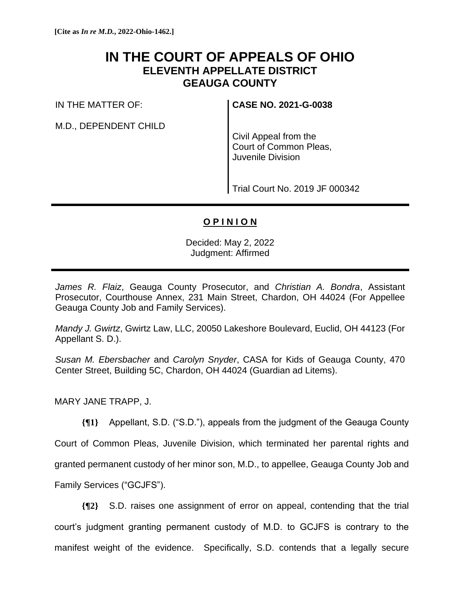# **IN THE COURT OF APPEALS OF OHIO ELEVENTH APPELLATE DISTRICT GEAUGA COUNTY**

IN THE MATTER OF:

M.D., DEPENDENT CHILD

**CASE NO. 2021-G-0038**

Civil Appeal from the Court of Common Pleas, Juvenile Division

Trial Court No. 2019 JF 000342

# **O P I N I O N**

Decided: May 2, 2022 Judgment: Affirmed

*James R. Flaiz*, Geauga County Prosecutor, and *Christian A. Bondra*, Assistant Prosecutor, Courthouse Annex, 231 Main Street, Chardon, OH 44024 (For Appellee Geauga County Job and Family Services).

*Mandy J. Gwirtz*, Gwirtz Law, LLC, 20050 Lakeshore Boulevard, Euclid, OH 44123 (For Appellant S. D.).

*Susan M. Ebersbacher* and *Carolyn Snyder*, CASA for Kids of Geauga County, 470 Center Street, Building 5C, Chardon, OH 44024 (Guardian ad Litems).

MARY JANE TRAPP, J.

**{¶1}** Appellant, S.D. ("S.D."), appeals from the judgment of the Geauga County

Court of Common Pleas, Juvenile Division, which terminated her parental rights and

granted permanent custody of her minor son, M.D., to appellee, Geauga County Job and

Family Services ("GCJFS").

**{¶2}** S.D. raises one assignment of error on appeal, contending that the trial court's judgment granting permanent custody of M.D. to GCJFS is contrary to the manifest weight of the evidence. Specifically, S.D. contends that a legally secure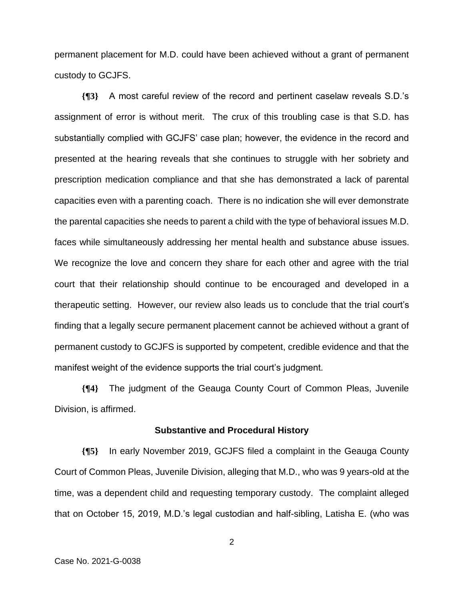permanent placement for M.D. could have been achieved without a grant of permanent custody to GCJFS.

**{¶3}** A most careful review of the record and pertinent caselaw reveals S.D.'s assignment of error is without merit. The crux of this troubling case is that S.D. has substantially complied with GCJFS' case plan; however, the evidence in the record and presented at the hearing reveals that she continues to struggle with her sobriety and prescription medication compliance and that she has demonstrated a lack of parental capacities even with a parenting coach. There is no indication she will ever demonstrate the parental capacities she needs to parent a child with the type of behavioral issues M.D. faces while simultaneously addressing her mental health and substance abuse issues. We recognize the love and concern they share for each other and agree with the trial court that their relationship should continue to be encouraged and developed in a therapeutic setting. However, our review also leads us to conclude that the trial court's finding that a legally secure permanent placement cannot be achieved without a grant of permanent custody to GCJFS is supported by competent, credible evidence and that the manifest weight of the evidence supports the trial court's judgment.

**{¶4}** The judgment of the Geauga County Court of Common Pleas, Juvenile Division, is affirmed.

#### **Substantive and Procedural History**

**{¶5}** In early November 2019, GCJFS filed a complaint in the Geauga County Court of Common Pleas, Juvenile Division, alleging that M.D., who was 9 years-old at the time, was a dependent child and requesting temporary custody. The complaint alleged that on October 15, 2019, M.D.'s legal custodian and half-sibling, Latisha E. (who was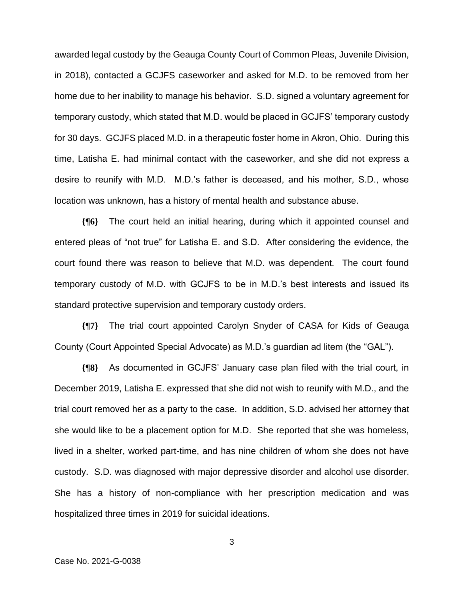awarded legal custody by the Geauga County Court of Common Pleas, Juvenile Division, in 2018), contacted a GCJFS caseworker and asked for M.D. to be removed from her home due to her inability to manage his behavior. S.D. signed a voluntary agreement for temporary custody, which stated that M.D. would be placed in GCJFS' temporary custody for 30 days. GCJFS placed M.D. in a therapeutic foster home in Akron, Ohio. During this time, Latisha E. had minimal contact with the caseworker, and she did not express a desire to reunify with M.D. M.D.'s father is deceased, and his mother, S.D., whose location was unknown, has a history of mental health and substance abuse.

**{¶6}** The court held an initial hearing, during which it appointed counsel and entered pleas of "not true" for Latisha E. and S.D. After considering the evidence, the court found there was reason to believe that M.D. was dependent. The court found temporary custody of M.D. with GCJFS to be in M.D.'s best interests and issued its standard protective supervision and temporary custody orders.

**{¶7}** The trial court appointed Carolyn Snyder of CASA for Kids of Geauga County (Court Appointed Special Advocate) as M.D.'s guardian ad litem (the "GAL").

**{¶8}** As documented in GCJFS' January case plan filed with the trial court, in December 2019, Latisha E. expressed that she did not wish to reunify with M.D., and the trial court removed her as a party to the case. In addition, S.D. advised her attorney that she would like to be a placement option for M.D. She reported that she was homeless, lived in a shelter, worked part-time, and has nine children of whom she does not have custody. S.D. was diagnosed with major depressive disorder and alcohol use disorder. She has a history of non-compliance with her prescription medication and was hospitalized three times in 2019 for suicidal ideations.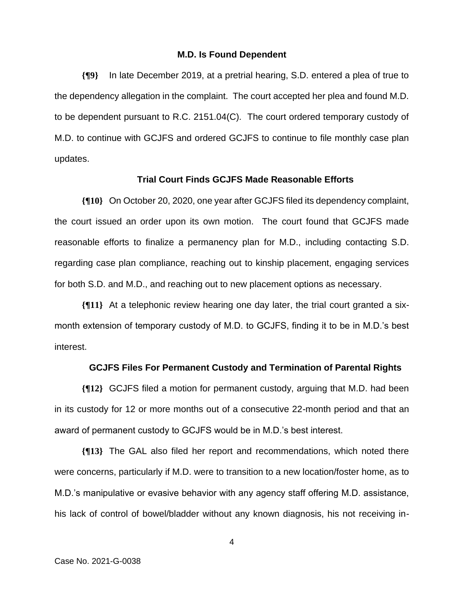## **M.D. Is Found Dependent**

**{¶9}** In late December 2019, at a pretrial hearing, S.D. entered a plea of true to the dependency allegation in the complaint. The court accepted her plea and found M.D. to be dependent pursuant to R.C. 2151.04(C). The court ordered temporary custody of M.D. to continue with GCJFS and ordered GCJFS to continue to file monthly case plan updates.

# **Trial Court Finds GCJFS Made Reasonable Efforts**

**{¶10}** On October 20, 2020, one year after GCJFS filed its dependency complaint, the court issued an order upon its own motion. The court found that GCJFS made reasonable efforts to finalize a permanency plan for M.D., including contacting S.D. regarding case plan compliance, reaching out to kinship placement, engaging services for both S.D. and M.D., and reaching out to new placement options as necessary.

**{¶11}** At a telephonic review hearing one day later, the trial court granted a sixmonth extension of temporary custody of M.D. to GCJFS, finding it to be in M.D.'s best interest.

# **GCJFS Files For Permanent Custody and Termination of Parental Rights**

**{¶12}** GCJFS filed a motion for permanent custody, arguing that M.D. had been in its custody for 12 or more months out of a consecutive 22-month period and that an award of permanent custody to GCJFS would be in M.D.'s best interest.

**{¶13}** The GAL also filed her report and recommendations, which noted there were concerns, particularly if M.D. were to transition to a new location/foster home, as to M.D.'s manipulative or evasive behavior with any agency staff offering M.D. assistance, his lack of control of bowel/bladder without any known diagnosis, his not receiving in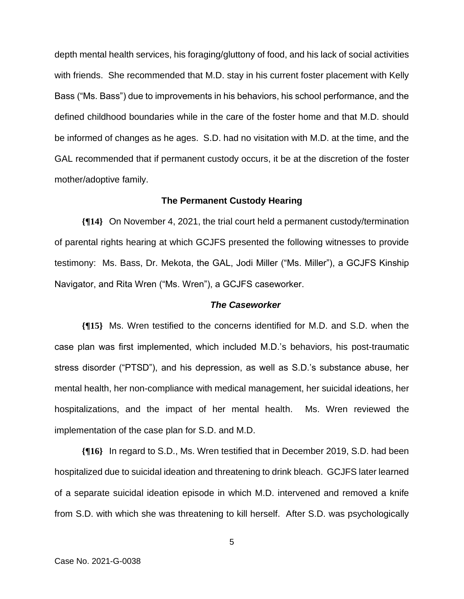depth mental health services, his foraging/gluttony of food, and his lack of social activities with friends. She recommended that M.D. stay in his current foster placement with Kelly Bass ("Ms. Bass") due to improvements in his behaviors, his school performance, and the defined childhood boundaries while in the care of the foster home and that M.D. should be informed of changes as he ages. S.D. had no visitation with M.D. at the time, and the GAL recommended that if permanent custody occurs, it be at the discretion of the foster mother/adoptive family.

#### **The Permanent Custody Hearing**

**{¶14}** On November 4, 2021, the trial court held a permanent custody/termination of parental rights hearing at which GCJFS presented the following witnesses to provide testimony: Ms. Bass, Dr. Mekota, the GAL, Jodi Miller ("Ms. Miller"), a GCJFS Kinship Navigator, and Rita Wren ("Ms. Wren"), a GCJFS caseworker.

## *The Caseworker*

**{¶15}** Ms. Wren testified to the concerns identified for M.D. and S.D. when the case plan was first implemented, which included M.D.'s behaviors, his post-traumatic stress disorder ("PTSD"), and his depression, as well as S.D.'s substance abuse, her mental health, her non-compliance with medical management, her suicidal ideations, her hospitalizations, and the impact of her mental health. Ms. Wren reviewed the implementation of the case plan for S.D. and M.D.

**{¶16}** In regard to S.D., Ms. Wren testified that in December 2019, S.D. had been hospitalized due to suicidal ideation and threatening to drink bleach. GCJFS later learned of a separate suicidal ideation episode in which M.D. intervened and removed a knife from S.D. with which she was threatening to kill herself. After S.D. was psychologically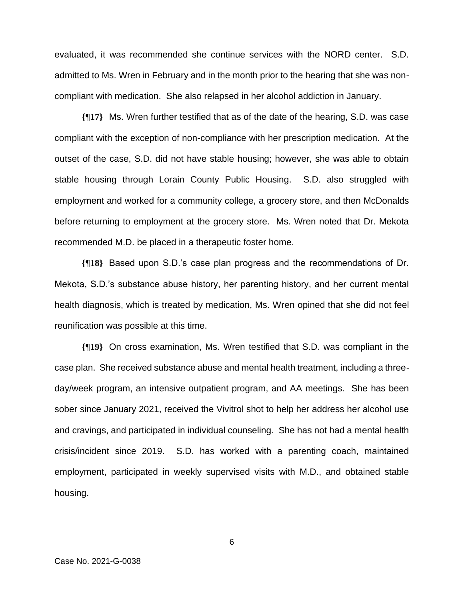evaluated, it was recommended she continue services with the NORD center. S.D. admitted to Ms. Wren in February and in the month prior to the hearing that she was noncompliant with medication. She also relapsed in her alcohol addiction in January.

**{¶17}** Ms. Wren further testified that as of the date of the hearing, S.D. was case compliant with the exception of non-compliance with her prescription medication. At the outset of the case, S.D. did not have stable housing; however, she was able to obtain stable housing through Lorain County Public Housing. S.D. also struggled with employment and worked for a community college, a grocery store, and then McDonalds before returning to employment at the grocery store. Ms. Wren noted that Dr. Mekota recommended M.D. be placed in a therapeutic foster home.

**{¶18}** Based upon S.D.'s case plan progress and the recommendations of Dr. Mekota, S.D.'s substance abuse history, her parenting history, and her current mental health diagnosis, which is treated by medication, Ms. Wren opined that she did not feel reunification was possible at this time.

**{¶19}** On cross examination, Ms. Wren testified that S.D. was compliant in the case plan. She received substance abuse and mental health treatment, including a threeday/week program, an intensive outpatient program, and AA meetings. She has been sober since January 2021, received the Vivitrol shot to help her address her alcohol use and cravings, and participated in individual counseling. She has not had a mental health crisis/incident since 2019. S.D. has worked with a parenting coach, maintained employment, participated in weekly supervised visits with M.D., and obtained stable housing.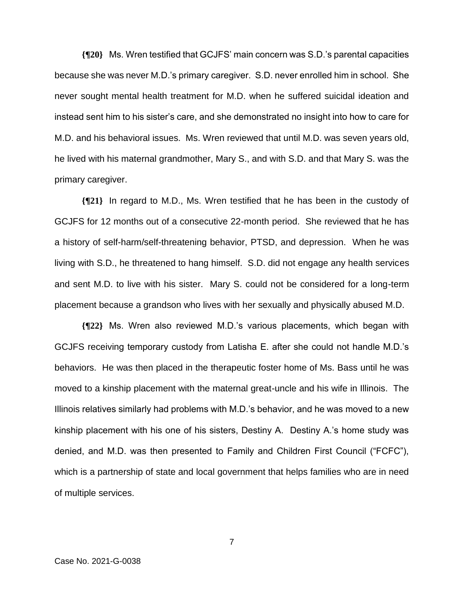**{¶20}** Ms. Wren testified that GCJFS' main concern was S.D.'s parental capacities because she was never M.D.'s primary caregiver. S.D. never enrolled him in school. She never sought mental health treatment for M.D. when he suffered suicidal ideation and instead sent him to his sister's care, and she demonstrated no insight into how to care for M.D. and his behavioral issues. Ms. Wren reviewed that until M.D. was seven years old, he lived with his maternal grandmother, Mary S., and with S.D. and that Mary S. was the primary caregiver.

**{¶21}** In regard to M.D., Ms. Wren testified that he has been in the custody of GCJFS for 12 months out of a consecutive 22-month period. She reviewed that he has a history of self-harm/self-threatening behavior, PTSD, and depression. When he was living with S.D., he threatened to hang himself. S.D. did not engage any health services and sent M.D. to live with his sister. Mary S. could not be considered for a long-term placement because a grandson who lives with her sexually and physically abused M.D.

**{¶22}** Ms. Wren also reviewed M.D.'s various placements, which began with GCJFS receiving temporary custody from Latisha E. after she could not handle M.D.'s behaviors. He was then placed in the therapeutic foster home of Ms. Bass until he was moved to a kinship placement with the maternal great-uncle and his wife in Illinois. The Illinois relatives similarly had problems with M.D.'s behavior, and he was moved to a new kinship placement with his one of his sisters, Destiny A. Destiny A.'s home study was denied, and M.D. was then presented to Family and Children First Council ("FCFC"), which is a partnership of state and local government that helps families who are in need of multiple services.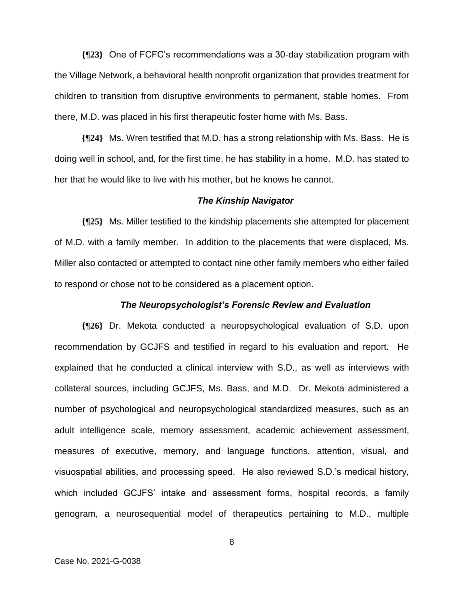**{¶23}** One of FCFC's recommendations was a 30-day stabilization program with the Village Network, a behavioral health nonprofit organization that provides treatment for children to transition from disruptive environments to permanent, stable homes. From there, M.D. was placed in his first therapeutic foster home with Ms. Bass.

**{¶24}** Ms. Wren testified that M.D. has a strong relationship with Ms. Bass. He is doing well in school, and, for the first time, he has stability in a home. M.D. has stated to her that he would like to live with his mother, but he knows he cannot.

#### *The Kinship Navigator*

**{¶25}** Ms. Miller testified to the kindship placements she attempted for placement of M.D. with a family member. In addition to the placements that were displaced, Ms. Miller also contacted or attempted to contact nine other family members who either failed to respond or chose not to be considered as a placement option.

#### *The Neuropsychologist's Forensic Review and Evaluation*

**{¶26}** Dr. Mekota conducted a neuropsychological evaluation of S.D. upon recommendation by GCJFS and testified in regard to his evaluation and report. He explained that he conducted a clinical interview with S.D., as well as interviews with collateral sources, including GCJFS, Ms. Bass, and M.D. Dr. Mekota administered a number of psychological and neuropsychological standardized measures, such as an adult intelligence scale, memory assessment, academic achievement assessment, measures of executive, memory, and language functions, attention, visual, and visuospatial abilities, and processing speed. He also reviewed S.D.'s medical history, which included GCJFS' intake and assessment forms, hospital records, a family genogram, a neurosequential model of therapeutics pertaining to M.D., multiple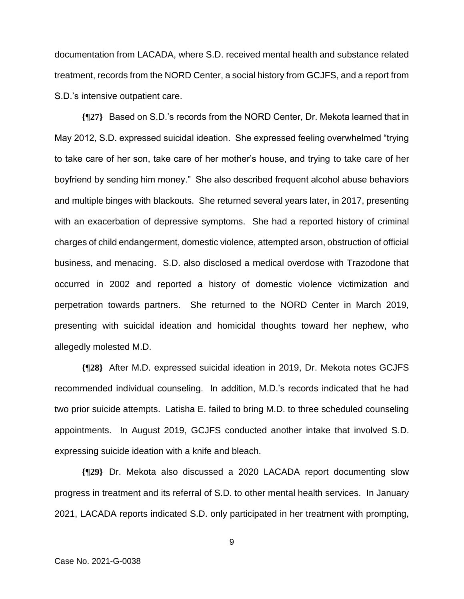documentation from LACADA, where S.D. received mental health and substance related treatment, records from the NORD Center, a social history from GCJFS, and a report from S.D.'s intensive outpatient care.

**{¶27}** Based on S.D.'s records from the NORD Center, Dr. Mekota learned that in May 2012, S.D. expressed suicidal ideation. She expressed feeling overwhelmed "trying to take care of her son, take care of her mother's house, and trying to take care of her boyfriend by sending him money." She also described frequent alcohol abuse behaviors and multiple binges with blackouts. She returned several years later, in 2017, presenting with an exacerbation of depressive symptoms. She had a reported history of criminal charges of child endangerment, domestic violence, attempted arson, obstruction of official business, and menacing. S.D. also disclosed a medical overdose with Trazodone that occurred in 2002 and reported a history of domestic violence victimization and perpetration towards partners. She returned to the NORD Center in March 2019, presenting with suicidal ideation and homicidal thoughts toward her nephew, who allegedly molested M.D.

**{¶28}** After M.D. expressed suicidal ideation in 2019, Dr. Mekota notes GCJFS recommended individual counseling. In addition, M.D.'s records indicated that he had two prior suicide attempts. Latisha E. failed to bring M.D. to three scheduled counseling appointments. In August 2019, GCJFS conducted another intake that involved S.D. expressing suicide ideation with a knife and bleach.

**{¶29}** Dr. Mekota also discussed a 2020 LACADA report documenting slow progress in treatment and its referral of S.D. to other mental health services. In January 2021, LACADA reports indicated S.D. only participated in her treatment with prompting,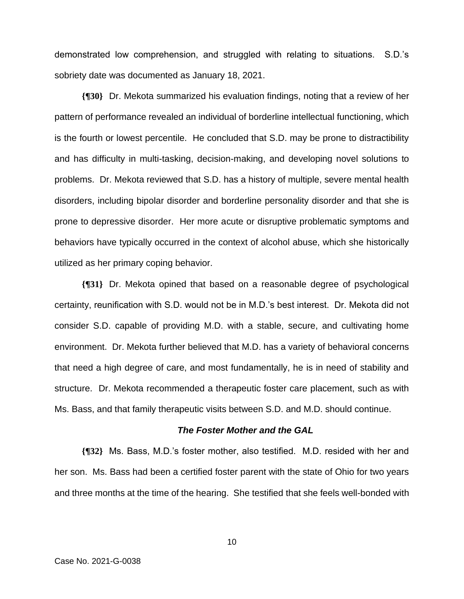demonstrated low comprehension, and struggled with relating to situations. S.D.'s sobriety date was documented as January 18, 2021.

**{¶30}** Dr. Mekota summarized his evaluation findings, noting that a review of her pattern of performance revealed an individual of borderline intellectual functioning, which is the fourth or lowest percentile. He concluded that S.D. may be prone to distractibility and has difficulty in multi-tasking, decision-making, and developing novel solutions to problems. Dr. Mekota reviewed that S.D. has a history of multiple, severe mental health disorders, including bipolar disorder and borderline personality disorder and that she is prone to depressive disorder. Her more acute or disruptive problematic symptoms and behaviors have typically occurred in the context of alcohol abuse, which she historically utilized as her primary coping behavior.

**{¶31}** Dr. Mekota opined that based on a reasonable degree of psychological certainty, reunification with S.D. would not be in M.D.'s best interest. Dr. Mekota did not consider S.D. capable of providing M.D. with a stable, secure, and cultivating home environment. Dr. Mekota further believed that M.D. has a variety of behavioral concerns that need a high degree of care, and most fundamentally, he is in need of stability and structure. Dr. Mekota recommended a therapeutic foster care placement, such as with Ms. Bass, and that family therapeutic visits between S.D. and M.D. should continue.

# *The Foster Mother and the GAL*

**{¶32}** Ms. Bass, M.D.'s foster mother, also testified. M.D. resided with her and her son. Ms. Bass had been a certified foster parent with the state of Ohio for two years and three months at the time of the hearing. She testified that she feels well-bonded with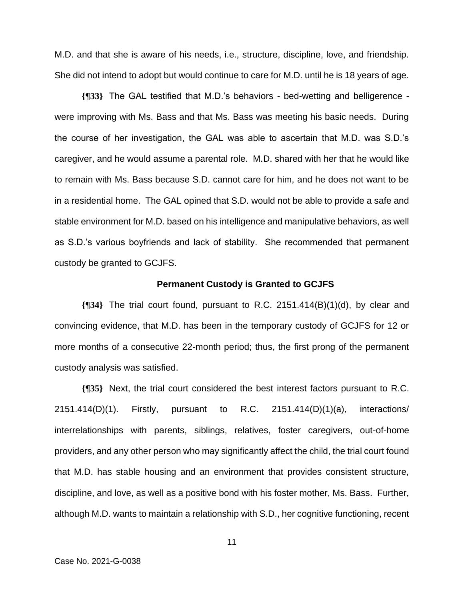M.D. and that she is aware of his needs, i.e., structure, discipline, love, and friendship. She did not intend to adopt but would continue to care for M.D. until he is 18 years of age.

**{¶33}** The GAL testified that M.D.'s behaviors - bed-wetting and belligerence were improving with Ms. Bass and that Ms. Bass was meeting his basic needs. During the course of her investigation, the GAL was able to ascertain that M.D. was S.D.'s caregiver, and he would assume a parental role. M.D. shared with her that he would like to remain with Ms. Bass because S.D. cannot care for him, and he does not want to be in a residential home. The GAL opined that S.D. would not be able to provide a safe and stable environment for M.D. based on his intelligence and manipulative behaviors, as well as S.D.'s various boyfriends and lack of stability. She recommended that permanent custody be granted to GCJFS.

#### **Permanent Custody is Granted to GCJFS**

**{¶34}** The trial court found, pursuant to R.C. 2151.414(B)(1)(d), by clear and convincing evidence, that M.D. has been in the temporary custody of GCJFS for 12 or more months of a consecutive 22-month period; thus, the first prong of the permanent custody analysis was satisfied.

**{¶35}** Next, the trial court considered the best interest factors pursuant to R.C. 2151.414(D)(1). Firstly, pursuant to R.C. 2151.414(D)(1)(a), interactions/ interrelationships with parents, siblings, relatives, foster caregivers, out-of-home providers, and any other person who may significantly affect the child, the trial court found that M.D. has stable housing and an environment that provides consistent structure, discipline, and love, as well as a positive bond with his foster mother, Ms. Bass. Further, although M.D. wants to maintain a relationship with S.D., her cognitive functioning, recent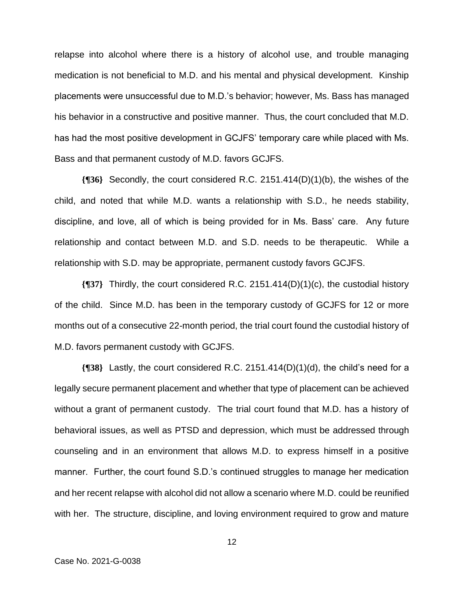relapse into alcohol where there is a history of alcohol use, and trouble managing medication is not beneficial to M.D. and his mental and physical development. Kinship placements were unsuccessful due to M.D.'s behavior; however, Ms. Bass has managed his behavior in a constructive and positive manner. Thus, the court concluded that M.D. has had the most positive development in GCJFS' temporary care while placed with Ms. Bass and that permanent custody of M.D. favors GCJFS.

**{¶36}** Secondly, the court considered R.C. 2151.414(D)(1)(b), the wishes of the child, and noted that while M.D. wants a relationship with S.D., he needs stability, discipline, and love, all of which is being provided for in Ms. Bass' care. Any future relationship and contact between M.D. and S.D. needs to be therapeutic. While a relationship with S.D. may be appropriate, permanent custody favors GCJFS.

**{¶37}** Thirdly, the court considered R.C. 2151.414(D)(1)(c), the custodial history of the child. Since M.D. has been in the temporary custody of GCJFS for 12 or more months out of a consecutive 22-month period, the trial court found the custodial history of M.D. favors permanent custody with GCJFS.

**{¶38}** Lastly, the court considered R.C. 2151.414(D)(1)(d), the child's need for a legally secure permanent placement and whether that type of placement can be achieved without a grant of permanent custody. The trial court found that M.D. has a history of behavioral issues, as well as PTSD and depression, which must be addressed through counseling and in an environment that allows M.D. to express himself in a positive manner. Further, the court found S.D.'s continued struggles to manage her medication and her recent relapse with alcohol did not allow a scenario where M.D. could be reunified with her. The structure, discipline, and loving environment required to grow and mature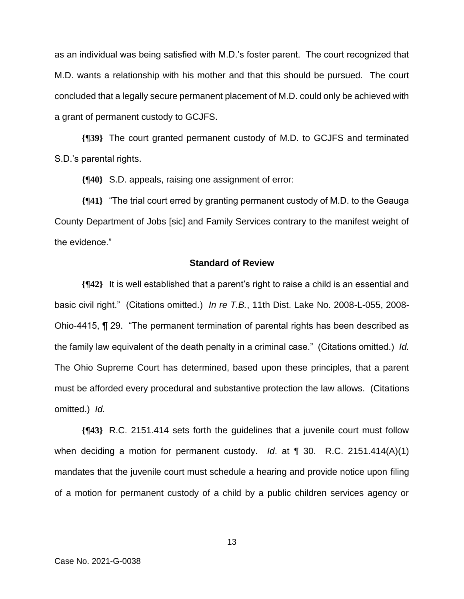as an individual was being satisfied with M.D.'s foster parent. The court recognized that M.D. wants a relationship with his mother and that this should be pursued. The court concluded that a legally secure permanent placement of M.D. could only be achieved with a grant of permanent custody to GCJFS.

**{¶39}** The court granted permanent custody of M.D. to GCJFS and terminated S.D.'s parental rights.

**{¶40}** S.D. appeals, raising one assignment of error:

**{¶41}** "The trial court erred by granting permanent custody of M.D. to the Geauga County Department of Jobs [sic] and Family Services contrary to the manifest weight of the evidence."

# **Standard of Review**

**{¶42}** It is well established that a parent's right to raise a child is an essential and basic civil right." (Citations omitted.) *In re T.B.*, 11th Dist. Lake No. 2008-L-055, 2008- Ohio-4415, ¶ 29. "The permanent termination of parental rights has been described as the family law equivalent of the death penalty in a criminal case." (Citations omitted.) *Id.* The Ohio Supreme Court has determined, based upon these principles, that a parent must be afforded every procedural and substantive protection the law allows. (Citations omitted.) *Id.*

**{¶43}** R.C. 2151.414 sets forth the guidelines that a juvenile court must follow when deciding a motion for permanent custody. *Id*. at ¶ 30. R.C. 2151.414(A)(1) mandates that the juvenile court must schedule a hearing and provide notice upon filing of a motion for permanent custody of a child by a public children services agency or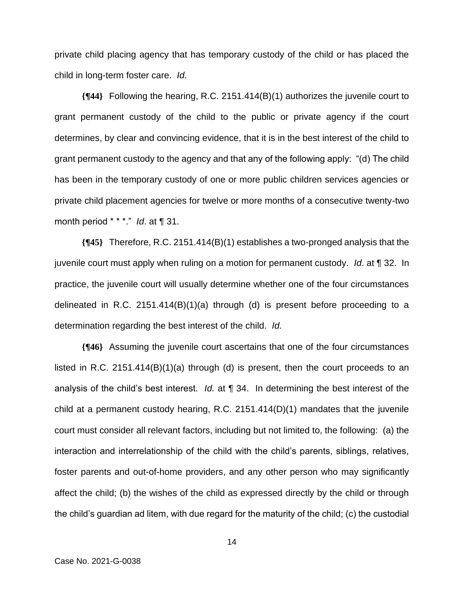private child placing agency that has temporary custody of the child or has placed the child in long-term foster care. *Id*.

**{¶44}** Following the hearing, R.C. 2151.414(B)(1) authorizes the juvenile court to grant permanent custody of the child to the public or private agency if the court determines, by clear and convincing evidence, that it is in the best interest of the child to grant permanent custody to the agency and that any of the following apply: "(d) The child has been in the temporary custody of one or more public children services agencies or private child placement agencies for twelve or more months of a consecutive twenty-two month period \* \* \*." *Id*. at ¶ 31.

**{¶45}** Therefore, R.C. 2151.414(B)(1) establishes a two-pronged analysis that the juvenile court must apply when ruling on a motion for permanent custody. *Id*. at ¶ 32. In practice, the juvenile court will usually determine whether one of the four circumstances delineated in R.C. 2151.414 $(B)(1)(a)$  through (d) is present before proceeding to a determination regarding the best interest of the child. *Id.*

**{¶46}** Assuming the juvenile court ascertains that one of the four circumstances listed in R.C. 2151.414(B)(1)(a) through (d) is present, then the court proceeds to an analysis of the child's best interest. *Id.* at ¶ 34. In determining the best interest of the child at a permanent custody hearing, R.C. 2151.414(D)(1) mandates that the juvenile court must consider all relevant factors, including but not limited to, the following: (a) the interaction and interrelationship of the child with the child's parents, siblings, relatives, foster parents and out-of-home providers, and any other person who may significantly affect the child; (b) the wishes of the child as expressed directly by the child or through the child's guardian ad litem, with due regard for the maturity of the child; (c) the custodial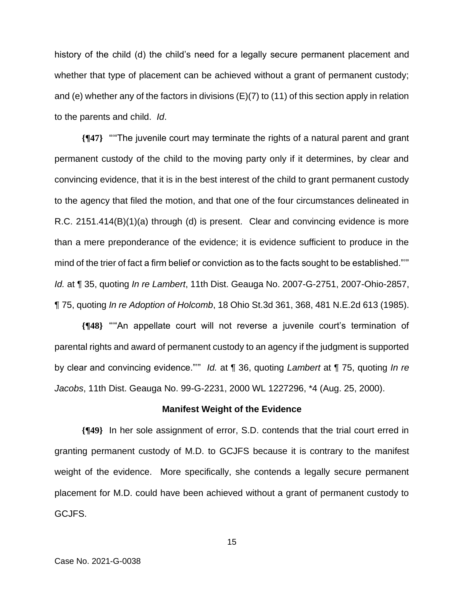history of the child (d) the child's need for a legally secure permanent placement and whether that type of placement can be achieved without a grant of permanent custody; and (e) whether any of the factors in divisions (E)(7) to (11) of this section apply in relation to the parents and child. *Id*.

**{¶47}** "'"The juvenile court may terminate the rights of a natural parent and grant permanent custody of the child to the moving party only if it determines, by clear and convincing evidence, that it is in the best interest of the child to grant permanent custody to the agency that filed the motion, and that one of the four circumstances delineated in R.C. 2151.414(B)(1)(a) through (d) is present. Clear and convincing evidence is more than a mere preponderance of the evidence; it is evidence sufficient to produce in the mind of the trier of fact a firm belief or conviction as to the facts sought to be established."'" *Id.* at ¶ 35, quoting *In re Lambert*, 11th Dist. Geauga No. 2007-G-2751, 2007-Ohio-2857, ¶ 75, quoting *In re Adoption of Holcomb*, 18 Ohio St.3d 361, 368, 481 N.E.2d 613 (1985).

**{¶48}** "'"An appellate court will not reverse a juvenile court's termination of parental rights and award of permanent custody to an agency if the judgment is supported by clear and convincing evidence."'" *Id.* at ¶ 36, quoting *Lambert* at ¶ 75, quoting *In re Jacobs*, 11th Dist. Geauga No. 99-G-2231, 2000 WL 1227296, \*4 (Aug. 25, 2000).

#### **Manifest Weight of the Evidence**

**{¶49}** In her sole assignment of error, S.D. contends that the trial court erred in granting permanent custody of M.D. to GCJFS because it is contrary to the manifest weight of the evidence. More specifically, she contends a legally secure permanent placement for M.D. could have been achieved without a grant of permanent custody to GCJFS.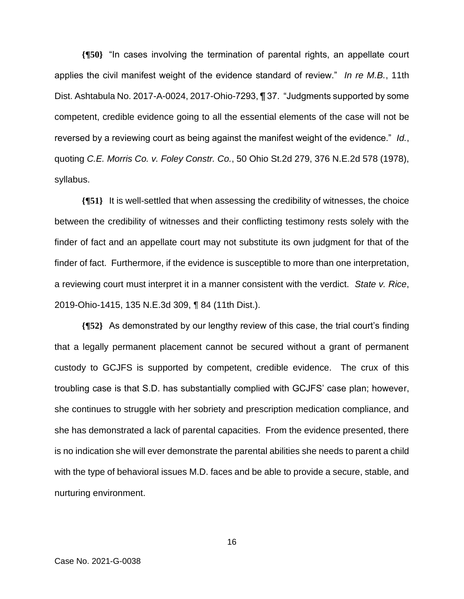**{¶50}** "In cases involving the termination of parental rights, an appellate court applies the civil manifest weight of the evidence standard of review." *In re M.B.*, 11th Dist. Ashtabula No. 2017-A-0024, 2017-Ohio-7293, ¶ 37. "Judgments supported by some competent, credible evidence going to all the essential elements of the case will not be reversed by a reviewing court as being against the manifest weight of the evidence." *Id.*, quoting *C.E. Morris Co. v. Foley Constr. Co.*, 50 Ohio St.2d 279, 376 N.E.2d 578 (1978), syllabus.

**{¶51}** It is well-settled that when assessing the credibility of witnesses, the choice between the credibility of witnesses and their conflicting testimony rests solely with the finder of fact and an appellate court may not substitute its own judgment for that of the finder of fact. Furthermore, if the evidence is susceptible to more than one interpretation, a reviewing court must interpret it in a manner consistent with the verdict. *State v. Rice*, 2019-Ohio-1415, 135 N.E.3d 309, ¶ 84 (11th Dist.).

**{¶52}** As demonstrated by our lengthy review of this case, the trial court's finding that a legally permanent placement cannot be secured without a grant of permanent custody to GCJFS is supported by competent, credible evidence. The crux of this troubling case is that S.D. has substantially complied with GCJFS' case plan; however, she continues to struggle with her sobriety and prescription medication compliance, and she has demonstrated a lack of parental capacities. From the evidence presented, there is no indication she will ever demonstrate the parental abilities she needs to parent a child with the type of behavioral issues M.D. faces and be able to provide a secure, stable, and nurturing environment.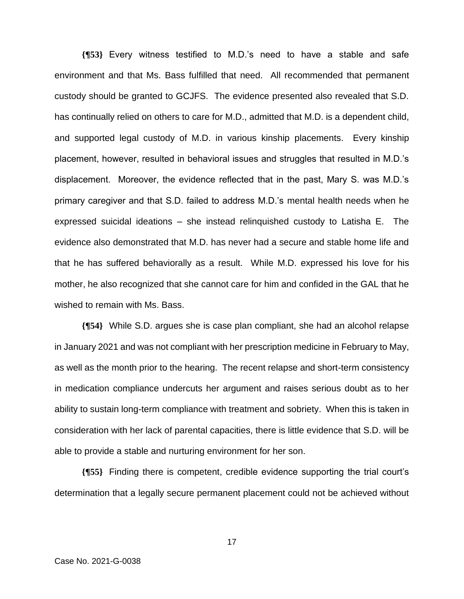**{¶53}** Every witness testified to M.D.'s need to have a stable and safe environment and that Ms. Bass fulfilled that need. All recommended that permanent custody should be granted to GCJFS. The evidence presented also revealed that S.D. has continually relied on others to care for M.D., admitted that M.D. is a dependent child, and supported legal custody of M.D. in various kinship placements. Every kinship placement, however, resulted in behavioral issues and struggles that resulted in M.D.'s displacement. Moreover, the evidence reflected that in the past, Mary S. was M.D.'s primary caregiver and that S.D. failed to address M.D.'s mental health needs when he expressed suicidal ideations – she instead relinquished custody to Latisha E. The evidence also demonstrated that M.D. has never had a secure and stable home life and that he has suffered behaviorally as a result. While M.D. expressed his love for his mother, he also recognized that she cannot care for him and confided in the GAL that he wished to remain with Ms. Bass.

**{¶54}** While S.D. argues she is case plan compliant, she had an alcohol relapse in January 2021 and was not compliant with her prescription medicine in February to May, as well as the month prior to the hearing. The recent relapse and short-term consistency in medication compliance undercuts her argument and raises serious doubt as to her ability to sustain long-term compliance with treatment and sobriety. When this is taken in consideration with her lack of parental capacities, there is little evidence that S.D. will be able to provide a stable and nurturing environment for her son.

**{¶55}** Finding there is competent, credible evidence supporting the trial court's determination that a legally secure permanent placement could not be achieved without